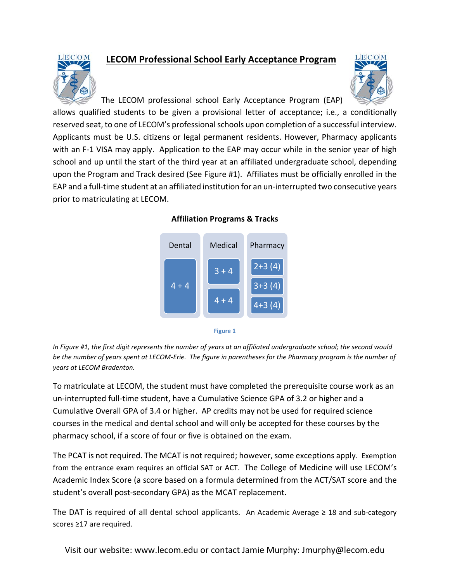

## **LECOM Professional School Early Acceptance Program**



The LECOM professional school Early Acceptance Program (EAP)

allows qualified students to be given a provisional letter of acceptance; i.e., a conditionally reserved seat, to one of LECOM's professional schools upon completion of a successful interview. Applicants must be U.S. citizens or legal permanent residents. However, Pharmacy applicants with an F-1 VISA may apply. Application to the EAP may occur while in the senior year of high school and up until the start of the third year at an affiliated undergraduate school, depending upon the Program and Track desired (See Figure #1). Affiliates must be officially enrolled in the EAP and a full-time student at an affiliated institution for an un-interrupted two consecutive years prior to matriculating at LECOM.





**Figure 1**

*In Figure #1, the first digit represents the number of years at an affiliated undergraduate school; the second would be the number of years spent at LECOM-Erie. The figure in parentheses for the Pharmacy program is the number of years at LECOM Bradenton.* 

To matriculate at LECOM, the student must have completed the prerequisite course work as an un-interrupted full-time student, have a Cumulative Science GPA of 3.2 or higher and a Cumulative Overall GPA of 3.4 or higher. AP credits may not be used for required science courses in the medical and dental school and will only be accepted for these courses by the pharmacy school, if a score of four or five is obtained on the exam.

The PCAT is not required. The MCAT is not required; however, some exceptions apply. Exemption from the entrance exam requires an official SAT or ACT. The College of Medicine will use LECOM's Academic Index Score (a score based on a formula determined from the ACT/SAT score and the student's overall post-secondary GPA) as the MCAT replacement.

The DAT is required of all dental school applicants. An Academic Average ≥ 18 and sub-category scores ≥17 are required.

Visit our website: www.lecom.edu or contact Jamie Murphy: Jmurphy@lecom.edu